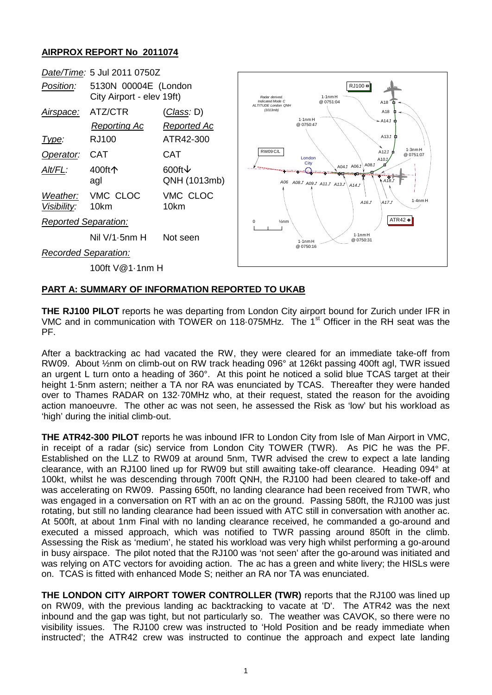## **AIRPROX REPORT No 2011074**



## **PART A: SUMMARY OF INFORMATION REPORTED TO UKAB**

**THE RJ100 PILOT** reports he was departing from London City airport bound for Zurich under IFR in VMC and in communication with TOWER on 118.075MHz. The 1<sup>st</sup> Officer in the RH seat was the PF.

After a backtracking ac had vacated the RW, they were cleared for an immediate take-off from RW09. About ½nm on climb-out on RW track heading 096° at 126kt passing 400ft agl, TWR issued an urgent L turn onto a heading of 360°. At this point he noticed a solid blue TCAS target at their height 1·5nm astern; neither a TA nor RA was enunciated by TCAS. Thereafter they were handed over to Thames RADAR on 132·70MHz who, at their request, stated the reason for the avoiding action manoeuvre. The other ac was not seen, he assessed the Risk as 'low' but his workload as 'high' during the initial climb-out.

**THE ATR42-300 PILOT** reports he was inbound IFR to London City from Isle of Man Airport in VMC, in receipt of a radar (sic) service from London City TOWER (TWR). As PIC he was the PF. Established on the LLZ to RW09 at around 5nm, TWR advised the crew to expect a late landing clearance, with an RJ100 lined up for RW09 but still awaiting take-off clearance. Heading 094° at 100kt, whilst he was descending through 700ft QNH, the RJ100 had been cleared to take-off and was accelerating on RW09. Passing 650ft, no landing clearance had been received from TWR, who was engaged in a conversation on RT with an ac on the ground. Passing 580ft, the RJ100 was just rotating, but still no landing clearance had been issued with ATC still in conversation with another ac. At 500ft, at about 1nm Final with no landing clearance received, he commanded a go-around and executed a missed approach, which was notified to TWR passing around 850ft in the climb. Assessing the Risk as 'medium', he stated his workload was very high whilst performing a go-around in busy airspace. The pilot noted that the RJ100 was 'not seen' after the go-around was initiated and was relying on ATC vectors for avoiding action. The ac has a green and white livery; the HISLs were on. TCAS is fitted with enhanced Mode S; neither an RA nor TA was enunciated.

**THE LONDON CITY AIRPORT TOWER CONTROLLER (TWR)** reports that the RJ100 was lined up on RW09, with the previous landing ac backtracking to vacate at 'D'. The ATR42 was the next inbound and the gap was tight, but not particularly so. The weather was CAVOK, so there were no visibility issues. The RJ100 crew was instructed to 'Hold Position and be ready immediate when instructed'; the ATR42 crew was instructed to continue the approach and expect late landing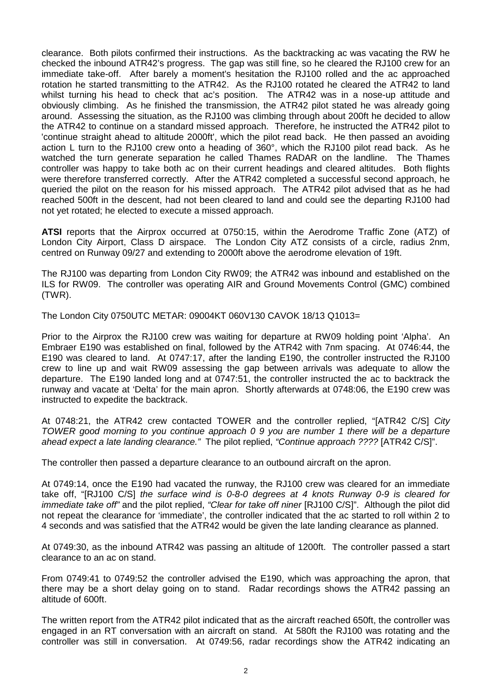clearance. Both pilots confirmed their instructions. As the backtracking ac was vacating the RW he checked the inbound ATR42's progress. The gap was still fine, so he cleared the RJ100 crew for an immediate take-off. After barely a moment's hesitation the RJ100 rolled and the ac approached rotation he started transmitting to the ATR42. As the RJ100 rotated he cleared the ATR42 to land whilst turning his head to check that ac's position. The ATR42 was in a nose-up attitude and obviously climbing. As he finished the transmission, the ATR42 pilot stated he was already going around. Assessing the situation, as the RJ100 was climbing through about 200ft he decided to allow the ATR42 to continue on a standard missed approach. Therefore, he instructed the ATR42 pilot to 'continue straight ahead to altitude 2000ft', which the pilot read back. He then passed an avoiding action L turn to the RJ100 crew onto a heading of 360°, which the RJ100 pilot read back. As he watched the turn generate separation he called Thames RADAR on the landline. The Thames controller was happy to take both ac on their current headings and cleared altitudes. Both flights were therefore transferred correctly. After the ATR42 completed a successful second approach, he queried the pilot on the reason for his missed approach. The ATR42 pilot advised that as he had reached 500ft in the descent, had not been cleared to land and could see the departing RJ100 had not yet rotated; he elected to execute a missed approach.

**ATSI** reports that the Airprox occurred at 0750:15, within the Aerodrome Traffic Zone (ATZ) of London City Airport, Class D airspace. The London City ATZ consists of a circle, radius 2nm, centred on Runway 09/27 and extending to 2000ft above the aerodrome elevation of 19ft.

The RJ100 was departing from London City RW09; the ATR42 was inbound and established on the ILS for RW09. The controller was operating AIR and Ground Movements Control (GMC) combined (TWR).

The London City 0750UTC METAR: 09004KT 060V130 CAVOK 18/13 Q1013=

Prior to the Airprox the RJ100 crew was waiting for departure at RW09 holding point 'Alpha'. An Embraer E190 was established on final, followed by the ATR42 with 7nm spacing. At 0746:44, the E190 was cleared to land. At 0747:17, after the landing E190, the controller instructed the RJ100 crew to line up and wait RW09 assessing the gap between arrivals was adequate to allow the departure. The E190 landed long and at 0747:51, the controller instructed the ac to backtrack the runway and vacate at 'Delta' for the main apron. Shortly afterwards at 0748:06, the E190 crew was instructed to expedite the backtrack.

At 0748:21, the ATR42 crew contacted TOWER and the controller replied, "[ATR42 C/S] *City TOWER good morning to you continue approach 0 9 you are number 1 there will be a departure ahead expect a late landing clearance."* The pilot replied, *"Continue approach ????* [ATR42 C/S]".

The controller then passed a departure clearance to an outbound aircraft on the apron.

At 0749:14, once the E190 had vacated the runway, the RJ100 crew was cleared for an immediate take off, "[RJ100 C/S] *the surface wind is 0-8-0 degrees at 4 knots Runway 0-9 is cleared for immediate take off"* and the pilot replied, *"Clear for take off niner* [RJ100 C/S]". Although the pilot did not repeat the clearance for 'immediate', the controller indicated that the ac started to roll within 2 to 4 seconds and was satisfied that the ATR42 would be given the late landing clearance as planned.

At 0749:30, as the inbound ATR42 was passing an altitude of 1200ft. The controller passed a start clearance to an ac on stand.

From 0749:41 to 0749:52 the controller advised the E190, which was approaching the apron, that there may be a short delay going on to stand. Radar recordings shows the ATR42 passing an altitude of 600ft.

The written report from the ATR42 pilot indicated that as the aircraft reached 650ft, the controller was engaged in an RT conversation with an aircraft on stand. At 580ft the RJ100 was rotating and the controller was still in conversation. At 0749:56, radar recordings show the ATR42 indicating an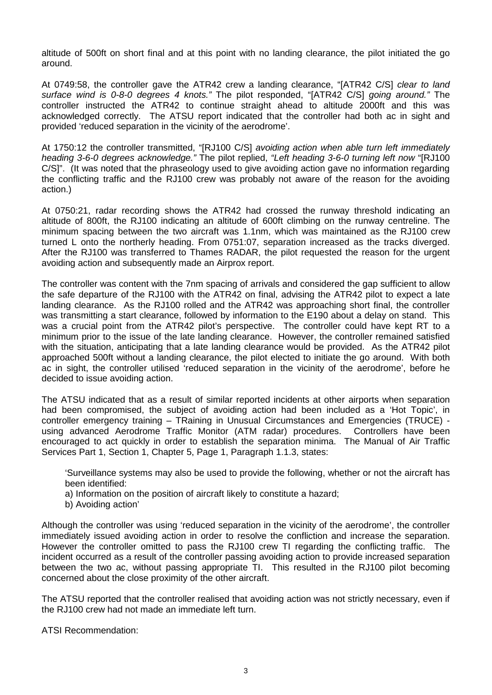altitude of 500ft on short final and at this point with no landing clearance, the pilot initiated the go around.

At 0749:58, the controller gave the ATR42 crew a landing clearance, "[ATR42 C/S] *clear to land surface wind is 0-8-0 degrees 4 knots."* The pilot responded, "[ATR42 C/S] *going around."* The controller instructed the ATR42 to continue straight ahead to altitude 2000ft and this was acknowledged correctly. The ATSU report indicated that the controller had both ac in sight and provided 'reduced separation in the vicinity of the aerodrome'.

At 1750:12 the controller transmitted, "[RJ100 C/S] *avoiding action when able turn left immediately heading 3-6-0 degrees acknowledge."* The pilot replied, *"Left heading 3-6-0 turning left now* "[RJ100 C/S]". (It was noted that the phraseology used to give avoiding action gave no information regarding the conflicting traffic and the RJ100 crew was probably not aware of the reason for the avoiding action.)

At 0750:21, radar recording shows the ATR42 had crossed the runway threshold indicating an altitude of 800ft, the RJ100 indicating an altitude of 600ft climbing on the runway centreline. The minimum spacing between the two aircraft was 1.1nm, which was maintained as the RJ100 crew turned L onto the northerly heading. From 0751:07, separation increased as the tracks diverged. After the RJ100 was transferred to Thames RADAR, the pilot requested the reason for the urgent avoiding action and subsequently made an Airprox report.

The controller was content with the 7nm spacing of arrivals and considered the gap sufficient to allow the safe departure of the RJ100 with the ATR42 on final, advising the ATR42 pilot to expect a late landing clearance. As the RJ100 rolled and the ATR42 was approaching short final, the controller was transmitting a start clearance, followed by information to the E190 about a delay on stand. This was a crucial point from the ATR42 pilot's perspective. The controller could have kept RT to a minimum prior to the issue of the late landing clearance. However, the controller remained satisfied with the situation, anticipating that a late landing clearance would be provided. As the ATR42 pilot approached 500ft without a landing clearance, the pilot elected to initiate the go around. With both ac in sight, the controller utilised 'reduced separation in the vicinity of the aerodrome', before he decided to issue avoiding action.

The ATSU indicated that as a result of similar reported incidents at other airports when separation had been compromised, the subject of avoiding action had been included as a 'Hot Topic', in controller emergency training – TRaining in Unusual Circumstances and Emergencies (TRUCE) using advanced Aerodrome Traffic Monitor (ATM radar) procedures. Controllers have been encouraged to act quickly in order to establish the separation minima. The Manual of Air Traffic Services Part 1, Section 1, Chapter 5, Page 1, Paragraph 1.1.3, states:

'Surveillance systems may also be used to provide the following, whether or not the aircraft has been identified:

a) Information on the position of aircraft likely to constitute a hazard;

b) Avoiding action'

Although the controller was using 'reduced separation in the vicinity of the aerodrome', the controller immediately issued avoiding action in order to resolve the confliction and increase the separation. However the controller omitted to pass the RJ100 crew TI regarding the conflicting traffic. The incident occurred as a result of the controller passing avoiding action to provide increased separation between the two ac, without passing appropriate TI. This resulted in the RJ100 pilot becoming concerned about the close proximity of the other aircraft.

The ATSU reported that the controller realised that avoiding action was not strictly necessary, even if the RJ100 crew had not made an immediate left turn.

ATSI Recommendation: